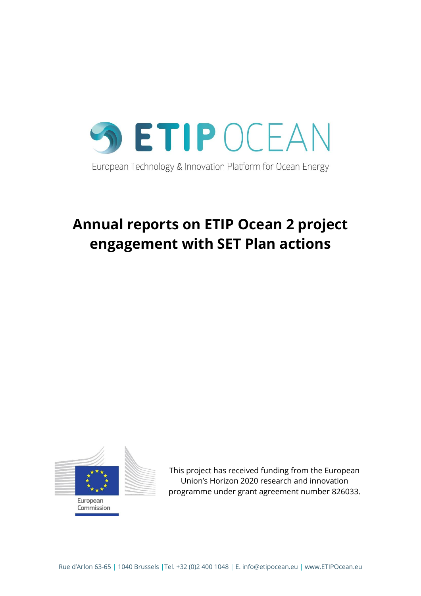

# **Annual reports on ETIP Ocean 2 project engagement with SET Plan actions**



This project has received funding from the European Union's Horizon 2020 research and innovation programme under grant agreement number 826033.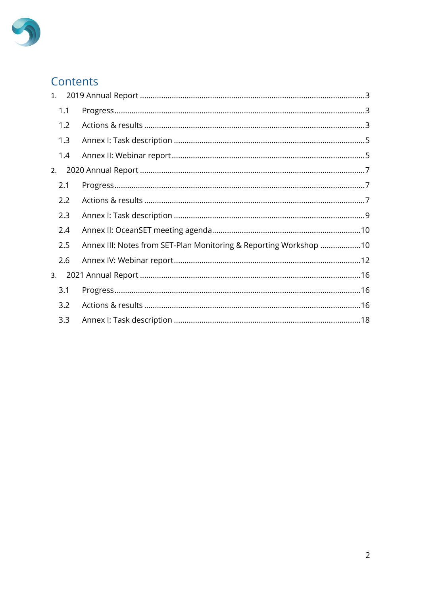

## Contents

| 1. |     |                                                                   |  |
|----|-----|-------------------------------------------------------------------|--|
|    | 1.1 |                                                                   |  |
|    | 1.2 |                                                                   |  |
|    | 1.3 |                                                                   |  |
|    | 1.4 |                                                                   |  |
| 2. |     |                                                                   |  |
|    | 2.1 |                                                                   |  |
|    | 2.2 |                                                                   |  |
|    | 2.3 |                                                                   |  |
|    | 2.4 |                                                                   |  |
|    | 2.5 | Annex III: Notes from SET-Plan Monitoring & Reporting Workshop 10 |  |
|    | 2.6 |                                                                   |  |
| 3. |     |                                                                   |  |
|    | 3.1 |                                                                   |  |
|    | 3.2 |                                                                   |  |
|    | 3.3 |                                                                   |  |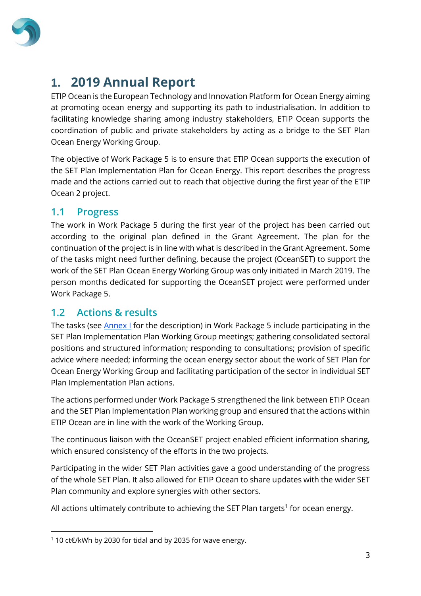

## <span id="page-2-0"></span>**1. 2019 Annual Report**

ETIP Ocean is the European Technology and Innovation Platform for Ocean Energy aiming at promoting ocean energy and supporting its path to industrialisation. In addition to facilitating knowledge sharing among industry stakeholders, ETIP Ocean supports the coordination of public and private stakeholders by acting as a bridge to the SET Plan Ocean Energy Working Group.

The objective of Work Package 5 is to ensure that ETIP Ocean supports the execution of the SET Plan Implementation Plan for Ocean Energy. This report describes the progress made and the actions carried out to reach that objective during the first year of the ETIP Ocean 2 project.

### <span id="page-2-1"></span>**1.1 Progress**

The work in Work Package 5 during the first year of the project has been carried out according to the original plan defined in the Grant Agreement. The plan for the continuation of the project is in line with what is described in the Grant Agreement. Some of the tasks might need further defining, because the project (OceanSET) to support the work of the SET Plan Ocean Energy Working Group was only initiated in March 2019. The person months dedicated for supporting the OceanSET project were performed under Work Package 5.

### <span id="page-2-2"></span>**1.2 Actions & results**

The tasks (see **Annex I** for the description) in Work Package 5 include participating in the SET Plan Implementation Plan Working Group meetings; gathering consolidated sectoral positions and structured information; responding to consultations; provision of specific advice where needed; informing the ocean energy sector about the work of SET Plan for Ocean Energy Working Group and facilitating participation of the sector in individual SET Plan Implementation Plan actions.

The actions performed under Work Package 5 strengthened the link between ETIP Ocean and the SET Plan Implementation Plan working group and ensured that the actions within ETIP Ocean are in line with the work of the Working Group.

The continuous liaison with the OceanSET project enabled efficient information sharing, which ensured consistency of the efforts in the two projects.

Participating in the wider SET Plan activities gave a good understanding of the progress of the whole SET Plan. It also allowed for ETIP Ocean to share updates with the wider SET Plan community and explore synergies with other sectors.

All actions ultimately contribute to achieving the SET Plan targets<sup>1</sup> for ocean energy.

<sup>1</sup> 10 ct€/kWh by 2030 for tidal and by 2035 for wave energy.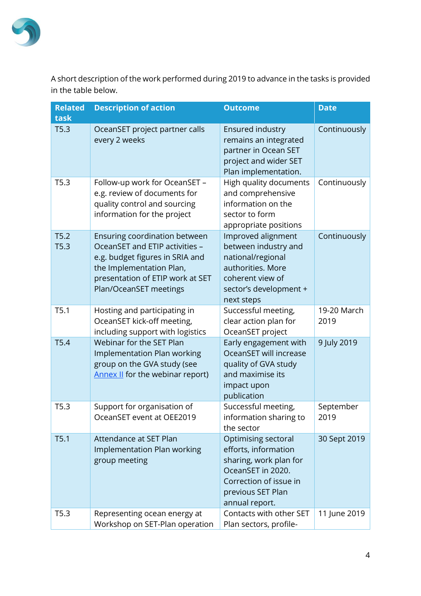

A short description of the work performed during 2019 to advance in the tasks is provided in the table below.

| <b>Related</b><br>task | <b>Description of action</b>                                                                                                                                                                 | <b>Outcome</b>                                                                                                                                              | <b>Date</b>         |
|------------------------|----------------------------------------------------------------------------------------------------------------------------------------------------------------------------------------------|-------------------------------------------------------------------------------------------------------------------------------------------------------------|---------------------|
| T5.3                   | OceanSET project partner calls<br>every 2 weeks                                                                                                                                              | <b>Ensured industry</b><br>remains an integrated<br>partner in Ocean SET<br>project and wider SET<br>Plan implementation.                                   | Continuously        |
| T5.3                   | Follow-up work for OceanSET -<br>e.g. review of documents for<br>quality control and sourcing<br>information for the project                                                                 | High quality documents<br>and comprehensive<br>information on the<br>sector to form<br>appropriate positions                                                | Continuously        |
| T5.2<br>T5.3           | Ensuring coordination between<br>OceanSET and ETIP activities -<br>e.g. budget figures in SRIA and<br>the Implementation Plan,<br>presentation of ETIP work at SET<br>Plan/OceanSET meetings | Improved alignment<br>between industry and<br>national/regional<br>authorities. More<br>coherent view of<br>sector's development +<br>next steps            | Continuously        |
| T5.1                   | Hosting and participating in<br>OceanSET kick-off meeting,<br>including support with logistics                                                                                               | Successful meeting,<br>clear action plan for<br>OceanSET project                                                                                            | 19-20 March<br>2019 |
| T5.4                   | Webinar for the SET Plan<br>Implementation Plan working<br>group on the GVA study (see<br><b>Annex II</b> for the webinar report)                                                            | Early engagement with<br>OceanSET will increase<br>quality of GVA study<br>and maximise its<br>impact upon<br>publication                                   | 9 July 2019         |
| T5.3                   | Support for organisation of<br>OceanSET event at OEE2019                                                                                                                                     | Successful meeting,<br>information sharing to<br>the sector                                                                                                 | September<br>2019   |
| T5.1                   | Attendance at SET Plan<br>Implementation Plan working<br>group meeting                                                                                                                       | Optimising sectoral<br>efforts, information<br>sharing, work plan for<br>OceanSET in 2020.<br>Correction of issue in<br>previous SET Plan<br>annual report. | 30 Sept 2019        |
| T5.3                   | Representing ocean energy at<br>Workshop on SET-Plan operation                                                                                                                               | Contacts with other SET<br>Plan sectors, profile-                                                                                                           | 11 June 2019        |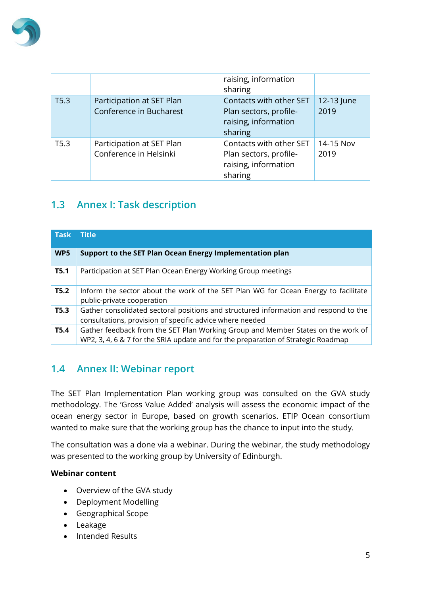

|                  |                                                      | raising, information<br>sharing                                                      |                    |
|------------------|------------------------------------------------------|--------------------------------------------------------------------------------------|--------------------|
| T5.3             | Participation at SET Plan<br>Conference in Bucharest | Contacts with other SET<br>Plan sectors, profile-<br>raising, information<br>sharing | 12-13 June<br>2019 |
| T <sub>5.3</sub> | Participation at SET Plan<br>Conference in Helsinki  | Contacts with other SET<br>Plan sectors, profile-<br>raising, information<br>sharing | 14-15 Nov<br>2019  |

## <span id="page-4-0"></span>**1.3 Annex I: Task description**

| <b>Task</b> | <b>Title</b>                                                                                                                                                          |
|-------------|-----------------------------------------------------------------------------------------------------------------------------------------------------------------------|
| WP5         | Support to the SET Plan Ocean Energy Implementation plan                                                                                                              |
| <b>T5.1</b> | Participation at SET Plan Ocean Energy Working Group meetings                                                                                                         |
| T5.2        | Inform the sector about the work of the SET Plan WG for Ocean Energy to facilitate<br>public-private cooperation                                                      |
| T5.3        | Gather consolidated sectoral positions and structured information and respond to the<br>consultations, provision of specific advice where needed                      |
| <b>T5.4</b> | Gather feedback from the SET Plan Working Group and Member States on the work of<br>WP2, 3, 4, 6 & 7 for the SRIA update and for the preparation of Strategic Roadmap |

## <span id="page-4-1"></span>**1.4 Annex II: Webinar report**

The SET Plan Implementation Plan working group was consulted on the GVA study methodology. The 'Gross Value Added' analysis will assess the economic impact of the ocean energy sector in Europe, based on growth scenarios. ETIP Ocean consortium wanted to make sure that the working group has the chance to input into the study.

The consultation was a done via a webinar. During the webinar, the study methodology was presented to the working group by University of Edinburgh.

#### **Webinar content**

- Overview of the GVA study
- Deployment Modelling
- Geographical Scope
- Leakage
- Intended Results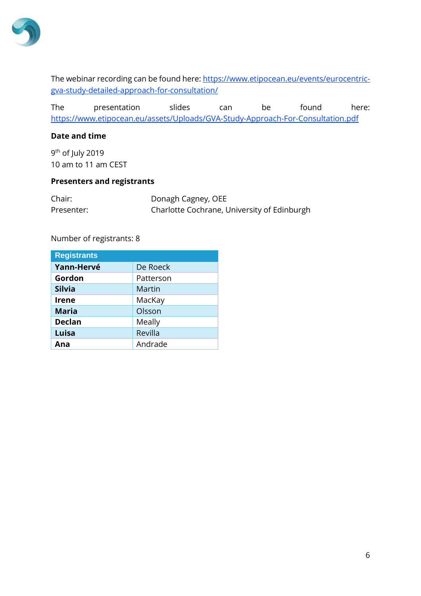

The webinar recording can be found here: [https://www.etipocean.eu/events/eurocentric](https://www.etipocean.eu/events/eurocentric-gva-study-detailed-approach-for-consultation/)[gva-study-detailed-approach-for-consultation/](https://www.etipocean.eu/events/eurocentric-gva-study-detailed-approach-for-consultation/)

The presentation slides can be found here: <https://www.etipocean.eu/assets/Uploads/GVA-Study-Approach-For-Consultation.pdf>

#### **Date and time**

9<sup>th</sup> of July 2019 10 am to 11 am CEST

#### **Presenters and registrants**

| Chair:     | Donagh Cagney, OEE                          |
|------------|---------------------------------------------|
| Presenter: | Charlotte Cochrane, University of Edinburgh |

#### Number of registrants: 8

| <b>Registrants</b> |           |
|--------------------|-----------|
| Yann-Hervé         | De Roeck  |
| Gordon             | Patterson |
| <b>Silvia</b>      | Martin    |
| <b>Irene</b>       | MacKay    |
| <b>Maria</b>       | Olsson    |
| <b>Declan</b>      | Meally    |
| Luisa              | Revilla   |
| Ana                | Andrade   |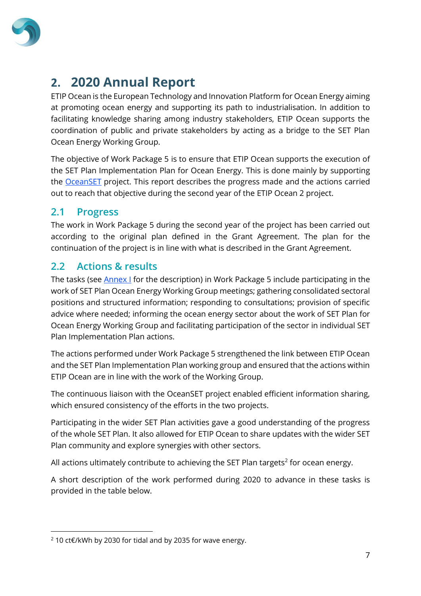

## <span id="page-6-0"></span>**2. 2020 Annual Report**

ETIP Ocean is the European Technology and Innovation Platform for Ocean Energy aiming at promoting ocean energy and supporting its path to industrialisation. In addition to facilitating knowledge sharing among industry stakeholders, ETIP Ocean supports the coordination of public and private stakeholders by acting as a bridge to the SET Plan Ocean Energy Working Group.

The objective of Work Package 5 is to ensure that ETIP Ocean supports the execution of the SET Plan Implementation Plan for Ocean Energy. This is done mainly by supporting the [OceanSET](oceanset.eu) project. This report describes the progress made and the actions carried out to reach that objective during the second year of the ETIP Ocean 2 project.

### <span id="page-6-1"></span>**2.1 Progress**

The work in Work Package 5 during the second year of the project has been carried out according to the original plan defined in the Grant Agreement. The plan for the continuation of the project is in line with what is described in the Grant Agreement.

## <span id="page-6-2"></span>**2.2 Actions & results**

The tasks (see **Annex I** for the description) in Work Package 5 include participating in the work of SET Plan Ocean Energy Working Group meetings; gathering consolidated sectoral positions and structured information; responding to consultations; provision of specific advice where needed; informing the ocean energy sector about the work of SET Plan for Ocean Energy Working Group and facilitating participation of the sector in individual SET Plan Implementation Plan actions.

The actions performed under Work Package 5 strengthened the link between ETIP Ocean and the SET Plan Implementation Plan working group and ensured that the actions within ETIP Ocean are in line with the work of the Working Group.

The continuous liaison with the OceanSET project enabled efficient information sharing, which ensured consistency of the efforts in the two projects.

Participating in the wider SET Plan activities gave a good understanding of the progress of the whole SET Plan. It also allowed for ETIP Ocean to share updates with the wider SET Plan community and explore synergies with other sectors.

All actions ultimately contribute to achieving the SET Plan targets<sup>2</sup> for ocean energy.

A short description of the work performed during 2020 to advance in these tasks is provided in the table below.

<sup>2</sup> 10 ct€/kWh by 2030 for tidal and by 2035 for wave energy.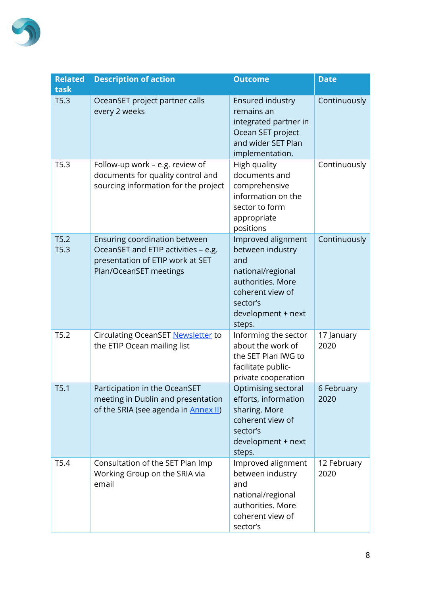

| <b>Related</b><br>task | <b>Description of action</b>                                                                                                       | <b>Outcome</b>                                                                                                                                          | <b>Date</b>         |
|------------------------|------------------------------------------------------------------------------------------------------------------------------------|---------------------------------------------------------------------------------------------------------------------------------------------------------|---------------------|
| T5.3                   | OceanSET project partner calls<br>every 2 weeks                                                                                    | Ensured industry<br>remains an<br>integrated partner in<br>Ocean SET project<br>and wider SET Plan<br>implementation.                                   | Continuously        |
| T5.3                   | Follow-up work - e.g. review of<br>documents for quality control and<br>sourcing information for the project                       | High quality<br>documents and<br>comprehensive<br>information on the<br>sector to form<br>appropriate<br>positions                                      | Continuously        |
| T5.2<br>T5.3           | Ensuring coordination between<br>OceanSET and ETIP activities - e.g.<br>presentation of ETIP work at SET<br>Plan/OceanSET meetings | Improved alignment<br>between industry<br>and<br>national/regional<br>authorities. More<br>coherent view of<br>sector's<br>development + next<br>steps. | Continuously        |
| T5.2                   | Circulating OceanSET Newsletter to<br>the ETIP Ocean mailing list                                                                  | Informing the sector<br>about the work of<br>the SET Plan IWG to<br>facilitate public-<br>private cooperation                                           | 17 January<br>2020  |
| T5.1                   | Participation in the OceanSET<br>meeting in Dublin and presentation<br>of the SRIA (see agenda in <b>Annex II</b> )                | Optimising sectoral<br>efforts, information<br>sharing. More<br>coherent view of<br>sector's<br>development + next<br>steps.                            | 6 February<br>2020  |
| T5.4                   | Consultation of the SET Plan Imp<br>Working Group on the SRIA via<br>email                                                         | Improved alignment<br>between industry<br>and<br>national/regional<br>authorities. More<br>coherent view of<br>sector's                                 | 12 February<br>2020 |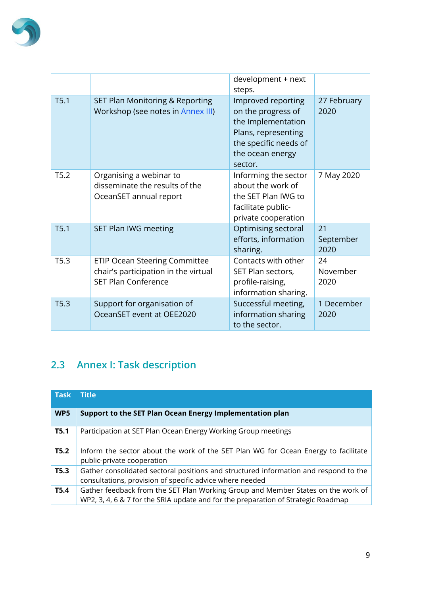

|      |                                                                                                            | development + next<br>steps.                                                                                                                  |                         |
|------|------------------------------------------------------------------------------------------------------------|-----------------------------------------------------------------------------------------------------------------------------------------------|-------------------------|
| T5.1 | SET Plan Monitoring & Reporting<br>Workshop (see notes in <b>Annex III)</b>                                | Improved reporting<br>on the progress of<br>the Implementation<br>Plans, representing<br>the specific needs of<br>the ocean energy<br>sector. | 27 February<br>2020     |
| T5.2 | Organising a webinar to<br>disseminate the results of the<br>OceanSET annual report                        | Informing the sector<br>about the work of<br>the SET Plan IWG to<br>facilitate public-<br>private cooperation                                 | 7 May 2020              |
| T5.1 | SET Plan IWG meeting                                                                                       | Optimising sectoral<br>efforts, information<br>sharing.                                                                                       | 21<br>September<br>2020 |
| T5.3 | <b>ETIP Ocean Steering Committee</b><br>chair's participation in the virtual<br><b>SET Plan Conference</b> | Contacts with other<br>SET Plan sectors,<br>profile-raising,<br>information sharing.                                                          | 24<br>November<br>2020  |
| T5.3 | Support for organisation of<br>OceanSET event at OEE2020                                                   | Successful meeting,<br>information sharing<br>to the sector.                                                                                  | 1 December<br>2020      |

## <span id="page-8-0"></span>**2.3 Annex I: Task description**

| <b>Task</b> | <b>Title</b>                                                                                                                                                          |
|-------------|-----------------------------------------------------------------------------------------------------------------------------------------------------------------------|
| WP5         | Support to the SET Plan Ocean Energy Implementation plan                                                                                                              |
| <b>T5.1</b> | Participation at SET Plan Ocean Energy Working Group meetings                                                                                                         |
| T5.2        | Inform the sector about the work of the SET Plan WG for Ocean Energy to facilitate<br>public-private cooperation                                                      |
| T5.3        | Gather consolidated sectoral positions and structured information and respond to the<br>consultations, provision of specific advice where needed                      |
| <b>T5.4</b> | Gather feedback from the SET Plan Working Group and Member States on the work of<br>WP2, 3, 4, 6 & 7 for the SRIA update and for the preparation of Strategic Roadmap |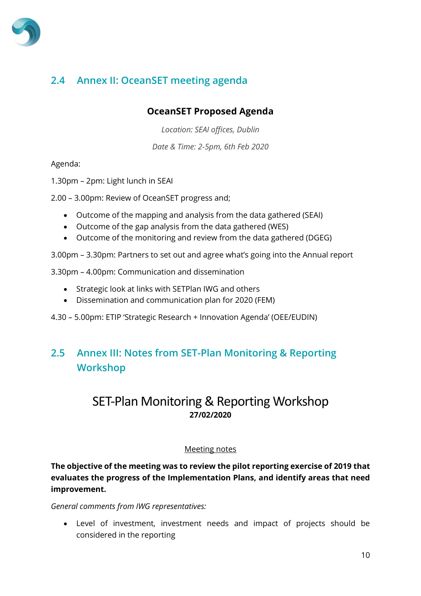

## <span id="page-9-0"></span>**2.4 Annex II: OceanSET meeting agenda**

### **OceanSET Proposed Agenda**

*Location: SEAI offices, Dublin*

*Date & Time: 2-5pm, 6th Feb 2020*

Agenda:

1.30pm – 2pm: Light lunch in SEAI

2.00 – 3.00pm: Review of OceanSET progress and;

- Outcome of the mapping and analysis from the data gathered (SEAI)
- Outcome of the gap analysis from the data gathered (WES)
- Outcome of the monitoring and review from the data gathered (DGEG)
- 3.00pm 3.30pm: Partners to set out and agree what's going into the Annual report
- 3.30pm 4.00pm: Communication and dissemination
	- Strategic look at links with SETPlan IWG and others
	- Dissemination and communication plan for 2020 (FEM)
- 4.30 5.00pm: ETIP 'Strategic Research + Innovation Agenda' (OEE/EUDIN)

## <span id="page-9-1"></span>**2.5 Annex III: Notes from SET-Plan Monitoring & Reporting Workshop**

## SET-Plan Monitoring & Reporting Workshop **27/02/2020**

#### Meeting notes

**The objective of the meeting was to review the pilot reporting exercise of 2019 that evaluates the progress of the Implementation Plans, and identify areas that need improvement.** 

*General comments from IWG representatives:*

• Level of investment, investment needs and impact of projects should be considered in the reporting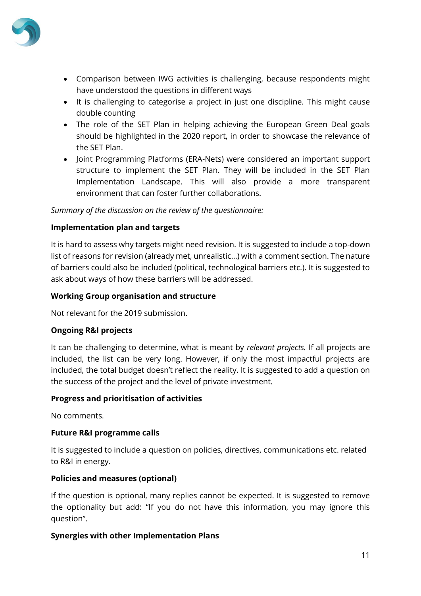

- Comparison between IWG activities is challenging, because respondents might have understood the questions in different ways
- It is challenging to categorise a project in just one discipline. This might cause double counting
- The role of the SET Plan in helping achieving the European Green Deal goals should be highlighted in the 2020 report, in order to showcase the relevance of the SET Plan.
- Joint Programming Platforms (ERA-Nets) were considered an important support structure to implement the SET Plan. They will be included in the SET Plan Implementation Landscape. This will also provide a more transparent environment that can foster further collaborations.

#### *Summary of the discussion on the review of the questionnaire:*

#### **Implementation plan and targets**

It is hard to assess why targets might need revision. It is suggested to include a top-down list of reasons for revision (already met, unrealistic…) with a comment section. The nature of barriers could also be included (political, technological barriers etc.). It is suggested to ask about ways of how these barriers will be addressed.

#### **Working Group organisation and structure**

Not relevant for the 2019 submission.

#### **Ongoing R&I projects**

It can be challenging to determine, what is meant by *relevant projects.* If all projects are included, the list can be very long. However, if only the most impactful projects are included, the total budget doesn't reflect the reality. It is suggested to add a question on the success of the project and the level of private investment.

#### **Progress and prioritisation of activities**

No comments.

#### **Future R&I programme calls**

It is suggested to include a question on policies, directives, communications etc. related to R&I in energy.

#### **Policies and measures (optional)**

If the question is optional, many replies cannot be expected. It is suggested to remove the optionality but add: "If you do not have this information, you may ignore this question".

#### **Synergies with other Implementation Plans**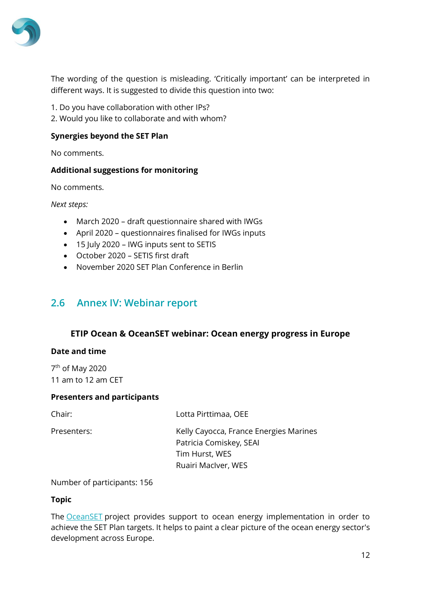

The wording of the question is misleading. 'Critically important' can be interpreted in different ways. It is suggested to divide this question into two:

- 1. Do you have collaboration with other IPs?
- 2. Would you like to collaborate and with whom?

#### **Synergies beyond the SET Plan**

No comments.

#### **Additional suggestions for monitoring**

No comments.

*Next steps:*

- March 2020 draft questionnaire shared with IWGs
- April 2020 questionnaires finalised for IWGs inputs
- 15 July 2020 IWG inputs sent to SETIS
- October 2020 SETIS first draft
- November 2020 SET Plan Conference in Berlin

#### <span id="page-11-0"></span>**2.6 Annex IV: Webinar report**

#### **ETIP Ocean & OceanSET webinar: Ocean energy progress in Europe**

#### **Date and time**

7<sup>th</sup> of May 2020 11 am to 12 am CET

#### **Presenters and participants**

Chair: Lotta Pirttimaa, OEE

Presenters: Kelly Cayocca, France Energies Marines Patricia Comiskey, SEAI Tim Hurst, WES

Ruairi MacIver, WES

Number of participants: 156

#### **Topic**

The **[OceanSET](http://www.oceanset.eu/)** project provides support to ocean energy implementation in order to achieve the SET Plan targets. It helps to paint a clear picture of the ocean energy sector's development across Europe.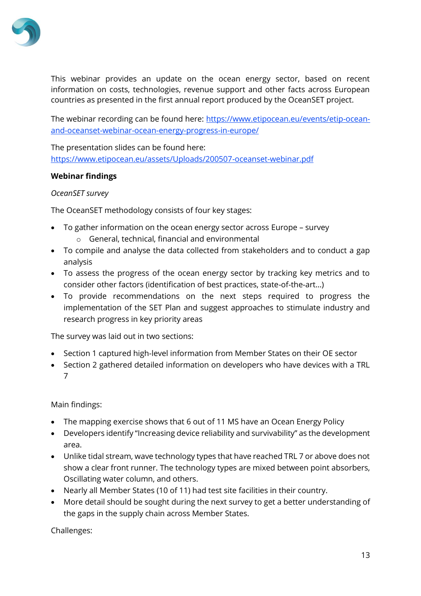

This webinar provides an update on the ocean energy sector, based on recent information on costs, technologies, revenue support and other facts across European countries as presented in the first annual report produced by the OceanSET project.

The webinar recording can be found here: [https://www.etipocean.eu/events/etip-ocean](https://www.etipocean.eu/events/etip-ocean-and-oceanset-webinar-ocean-energy-progress-in-europe/)[and-oceanset-webinar-ocean-energy-progress-in-europe/](https://www.etipocean.eu/events/etip-ocean-and-oceanset-webinar-ocean-energy-progress-in-europe/)

The presentation slides can be found here: <https://www.etipocean.eu/assets/Uploads/200507-oceanset-webinar.pdf>

#### **Webinar findings**

#### *OceanSET survey*

The OceanSET methodology consists of four key stages:

- To gather information on the ocean energy sector across Europe survey
	- o General, technical, financial and environmental
- To compile and analyse the data collected from stakeholders and to conduct a gap analysis
- To assess the progress of the ocean energy sector by tracking key metrics and to consider other factors (identification of best practices, state-of-the-art…)
- To provide recommendations on the next steps required to progress the implementation of the SET Plan and suggest approaches to stimulate industry and research progress in key priority areas

The survey was laid out in two sections:

- Section 1 captured high-level information from Member States on their OE sector
- Section 2 gathered detailed information on developers who have devices with a TRL 7

Main findings:

- The mapping exercise shows that 6 out of 11 MS have an Ocean Energy Policy
- Developers identify "Increasing device reliability and survivability" as the development area.
- Unlike tidal stream, wave technology types that have reached TRL 7 or above does not show a clear front runner. The technology types are mixed between point absorbers, Oscillating water column, and others.
- Nearly all Member States (10 of 11) had test site facilities in their country.
- More detail should be sought during the next survey to get a better understanding of the gaps in the supply chain across Member States.

Challenges: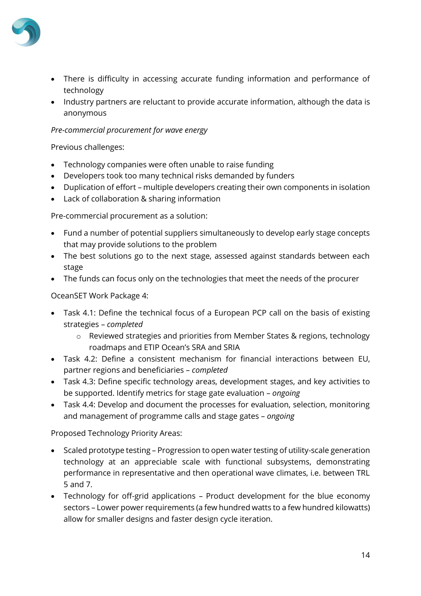

- There is difficulty in accessing accurate funding information and performance of technology
- Industry partners are reluctant to provide accurate information, although the data is anonymous

#### *Pre-commercial procurement for wave energy*

Previous challenges:

- Technology companies were often unable to raise funding
- Developers took too many technical risks demanded by funders
- Duplication of effort multiple developers creating their own components in isolation
- Lack of collaboration & sharing information

Pre-commercial procurement as a solution:

- Fund a number of potential suppliers simultaneously to develop early stage concepts that may provide solutions to the problem
- The best solutions go to the next stage, assessed against standards between each stage
- The funds can focus only on the technologies that meet the needs of the procurer

OceanSET Work Package 4:

- Task 4.1: Define the technical focus of a European PCP call on the basis of existing strategies – *completed* 
	- $\circ$  Reviewed strategies and priorities from Member States & regions, technology roadmaps and ETIP Ocean's SRA and SRIA
- Task 4.2: Define a consistent mechanism for financial interactions between EU, partner regions and beneficiaries – *completed*
- Task 4.3: Define specific technology areas, development stages, and key activities to be supported. Identify metrics for stage gate evaluation – *ongoing*
- Task 4.4: Develop and document the processes for evaluation, selection, monitoring and management of programme calls and stage gates – *ongoing*

Proposed Technology Priority Areas:

- Scaled prototype testing Progression to open water testing of utility-scale generation technology at an appreciable scale with functional subsystems, demonstrating performance in representative and then operational wave climates, i.e. between TRL 5 and 7.
- Technology for off-grid applications Product development for the blue economy sectors – Lower power requirements (a few hundred watts to a few hundred kilowatts) allow for smaller designs and faster design cycle iteration.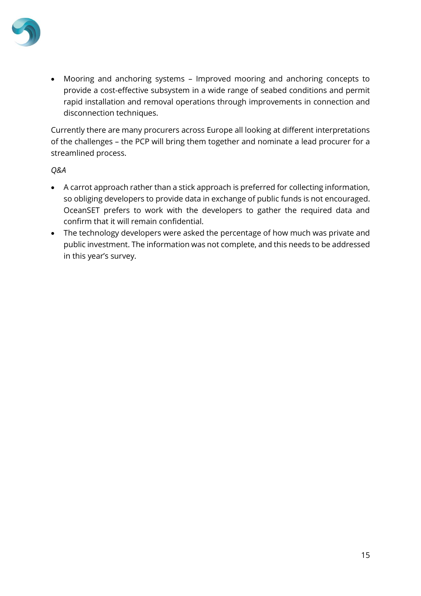

• Mooring and anchoring systems – Improved mooring and anchoring concepts to provide a cost-effective subsystem in a wide range of seabed conditions and permit rapid installation and removal operations through improvements in connection and disconnection techniques.

Currently there are many procurers across Europe all looking at different interpretations of the challenges – the PCP will bring them together and nominate a lead procurer for a streamlined process.

#### *Q&A*

- A carrot approach rather than a stick approach is preferred for collecting information, so obliging developers to provide data in exchange of public funds is not encouraged. OceanSET prefers to work with the developers to gather the required data and confirm that it will remain confidential.
- The technology developers were asked the percentage of how much was private and public investment. The information was not complete, and this needs to be addressed in this year's survey.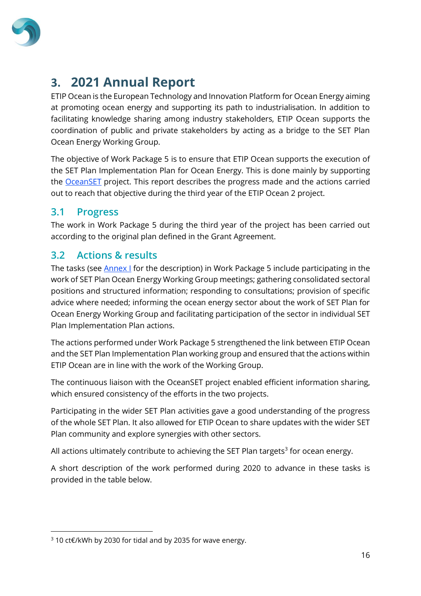

## <span id="page-15-0"></span>**3. 2021 Annual Report**

ETIP Ocean is the European Technology and Innovation Platform for Ocean Energy aiming at promoting ocean energy and supporting its path to industrialisation. In addition to facilitating knowledge sharing among industry stakeholders, ETIP Ocean supports the coordination of public and private stakeholders by acting as a bridge to the SET Plan Ocean Energy Working Group.

The objective of Work Package 5 is to ensure that ETIP Ocean supports the execution of the SET Plan Implementation Plan for Ocean Energy. This is done mainly by supporting the [OceanSET](file://///srv16/EU-OEA/EC%20Projects/ETIP%20Ocean%202/WP%205%20-%20SET%20Plan/Annual%20engagement%20reports/2021%20Annual%20engagement%20report/oceanset.eu) project. This report describes the progress made and the actions carried out to reach that objective during the third year of the ETIP Ocean 2 project.

### <span id="page-15-1"></span>**3.1 Progress**

The work in Work Package 5 during the third year of the project has been carried out according to the original plan defined in the Grant Agreement.

## <span id="page-15-2"></span>**3.2 Actions & results**

The tasks (see **Annex I** for the description) in Work Package 5 include participating in the work of SET Plan Ocean Energy Working Group meetings; gathering consolidated sectoral positions and structured information; responding to consultations; provision of specific advice where needed; informing the ocean energy sector about the work of SET Plan for Ocean Energy Working Group and facilitating participation of the sector in individual SET Plan Implementation Plan actions.

The actions performed under Work Package 5 strengthened the link between ETIP Ocean and the SET Plan Implementation Plan working group and ensured that the actions within ETIP Ocean are in line with the work of the Working Group.

The continuous liaison with the OceanSET project enabled efficient information sharing, which ensured consistency of the efforts in the two projects.

Participating in the wider SET Plan activities gave a good understanding of the progress of the whole SET Plan. It also allowed for ETIP Ocean to share updates with the wider SET Plan community and explore synergies with other sectors.

All actions ultimately contribute to achieving the SET Plan targets<sup>3</sup> for ocean energy.

A short description of the work performed during 2020 to advance in these tasks is provided in the table below.

<sup>3</sup> 10 ct€/kWh by 2030 for tidal and by 2035 for wave energy.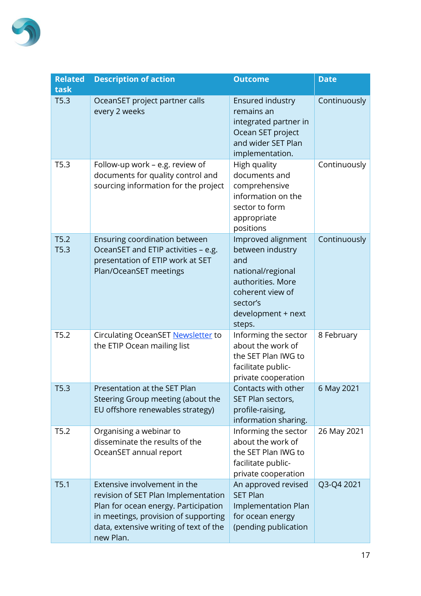

| <b>Related</b><br>task | <b>Description of action</b>                                                                                                                                                                               | <b>Outcome</b>                                                                                                                                          | <b>Date</b>  |
|------------------------|------------------------------------------------------------------------------------------------------------------------------------------------------------------------------------------------------------|---------------------------------------------------------------------------------------------------------------------------------------------------------|--------------|
| T5.3                   | OceanSET project partner calls<br>every 2 weeks                                                                                                                                                            | Ensured industry<br>remains an<br>integrated partner in<br>Ocean SET project<br>and wider SET Plan<br>implementation.                                   | Continuously |
| T5.3                   | Follow-up work - e.g. review of<br>documents for quality control and<br>sourcing information for the project                                                                                               | High quality<br>documents and<br>comprehensive<br>information on the<br>sector to form<br>appropriate<br>positions                                      | Continuously |
| T5.2<br>T5.3           | Ensuring coordination between<br>OceanSET and ETIP activities - e.g.<br>presentation of ETIP work at SET<br>Plan/OceanSET meetings                                                                         | Improved alignment<br>between industry<br>and<br>national/regional<br>authorities. More<br>coherent view of<br>sector's<br>development + next<br>steps. | Continuously |
| T5.2                   | Circulating OceanSET Newsletter to<br>the ETIP Ocean mailing list                                                                                                                                          | Informing the sector<br>about the work of<br>the SET Plan IWG to<br>facilitate public-<br>private cooperation                                           | 8 February   |
| T5.3                   | Presentation at the SET Plan<br>Steering Group meeting (about the<br>EU offshore renewables strategy)                                                                                                      | Contacts with other<br>SET Plan sectors,<br>profile-raising,<br>information sharing.                                                                    | 6 May 2021   |
| T5.2                   | Organising a webinar to<br>disseminate the results of the<br>OceanSET annual report                                                                                                                        | Informing the sector<br>about the work of<br>the SET Plan IWG to<br>facilitate public-<br>private cooperation                                           | 26 May 2021  |
| T5.1                   | Extensive involvement in the<br>revision of SET Plan Implementation<br>Plan for ocean energy. Participation<br>in meetings, provision of supporting<br>data, extensive writing of text of the<br>new Plan. | An approved revised<br><b>SET Plan</b><br><b>Implementation Plan</b><br>for ocean energy<br>(pending publication                                        | Q3-Q4 2021   |